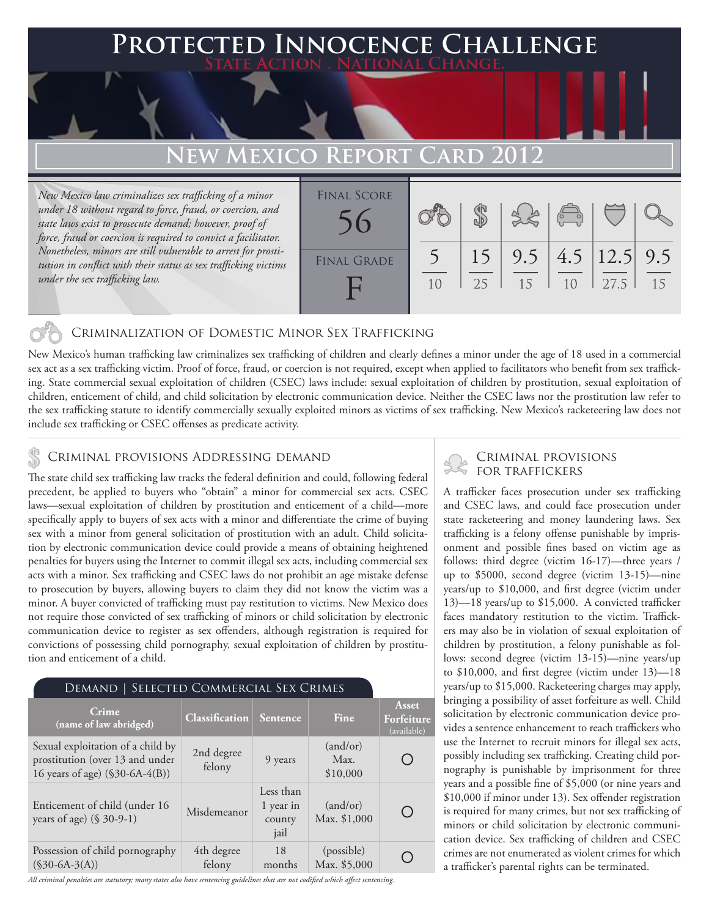# **FED INNOCENCE CHALLENGE State Action . National Change. EW MEXICO REPORT CARD**

*New Mexico law criminalizes sex trafficking of a minor under 18 without regard to force, fraud, or coercion, and state laws exist to prosecute demand; however, proof of force, fraud or coercion is required to convict a facilitator. Nonetheless, minors are still vulnerable to arrest for prostitution in conflict with their status as sex trafficking victims under the sex trafficking law.*

| <b>FINAL SCORE</b> |                |    |           | $\begin{pmatrix} 0 & 0 \\ 0 & 0 \end{pmatrix}$ |                          |    |
|--------------------|----------------|----|-----------|------------------------------------------------|--------------------------|----|
| <b>FINAL GRADE</b> | 1 <sub>0</sub> | 25 | 9.5<br>15 | 10                                             | 4.5 $ 12.5 $ 9.5<br>27.5 | 15 |

### Criminalization of Domestic Minor Sex Trafficking

New Mexico's human trafficking law criminalizes sex trafficking of children and clearly defines a minor under the age of 18 used in a commercial sex act as a sex trafficking victim. Proof of force, fraud, or coercion is not required, except when applied to facilitators who benefit from sex trafficking. State commercial sexual exploitation of children (CSEC) laws include: sexual exploitation of children by prostitution, sexual exploitation of children, enticement of child, and child solicitation by electronic communication device. Neither the CSEC laws nor the prostitution law refer to the sex trafficking statute to identify commercially sexually exploited minors as victims of sex trafficking. New Mexico's racketeering law does not include sex trafficking or CSEC offenses as predicate activity.

### CRIMINAL PROVISIONS ADDRESSING DEMAND

The state child sex trafficking law tracks the federal definition and could, following federal precedent, be applied to buyers who "obtain" a minor for commercial sex acts. CSEC laws—sexual exploitation of children by prostitution and enticement of a child—more specifically apply to buyers of sex acts with a minor and differentiate the crime of buying sex with a minor from general solicitation of prostitution with an adult. Child solicitation by electronic communication device could provide a means of obtaining heightened penalties for buyers using the Internet to commit illegal sex acts, including commercial sex acts with a minor. Sex trafficking and CSEC laws do not prohibit an age mistake defense to prosecution by buyers, allowing buyers to claim they did not know the victim was a minor. A buyer convicted of trafficking must pay restitution to victims. New Mexico does not require those convicted of sex trafficking of minors or child solicitation by electronic communication device to register as sex offenders, although registration is required for convictions of possessing child pornography, sexual exploitation of children by prostitution and enticement of a child.

| DEMAND   SELECTED COMMERCIAL SEX CRIMES                                                                 |                       |                                          |                              |                                           |  |  |  |  |
|---------------------------------------------------------------------------------------------------------|-----------------------|------------------------------------------|------------------------------|-------------------------------------------|--|--|--|--|
| Crime<br>(name of law abridged)                                                                         | <b>Classification</b> | <b>Sentence</b>                          | Fine                         | <b>Asset</b><br>Forfeiture<br>(available) |  |  |  |  |
| Sexual exploitation of a child by<br>prostitution (over 13 and under<br>16 years of age) (\$30-6A-4(B)) | 2nd degree<br>felony  | 9 years                                  | (and/or)<br>Max.<br>\$10,000 |                                           |  |  |  |  |
| Enticement of child (under 16<br>years of age) $(\$ 30-9-1)$                                            | Misdemeanor           | Less than<br>1 year in<br>county<br>jail | (and/or)<br>Max. \$1,000     |                                           |  |  |  |  |
| Possession of child pornography<br>$(S30-6A-3(A))$                                                      | 4th degree<br>felony  | 18<br>months                             | (possible)<br>Max. \$5,000   |                                           |  |  |  |  |

*All criminal penalties are statutory; many states also have sentencing guidelines that are not codified which affect sentencing.* 

## Criminal provisions

A trafficker faces prosecution under sex trafficking and CSEC laws, and could face prosecution under state racketeering and money laundering laws. Sex trafficking is a felony offense punishable by imprisonment and possible fines based on victim age as follows: third degree (victim 16-17)—three years / up to \$5000, second degree (victim 13-15)—nine years/up to \$10,000, and first degree (victim under 13)—18 years/up to \$15,000. A convicted trafficker faces mandatory restitution to the victim. Traffickers may also be in violation of sexual exploitation of children by prostitution, a felony punishable as follows: second degree (victim 13-15)—nine years/up to \$10,000, and first degree (victim under 13)—18 years/up to \$15,000. Racketeering charges may apply, bringing a possibility of asset forfeiture as well. Child solicitation by electronic communication device provides a sentence enhancement to reach traffickers who use the Internet to recruit minors for illegal sex acts, possibly including sex trafficking. Creating child pornography is punishable by imprisonment for three years and a possible fine of \$5,000 (or nine years and \$10,000 if minor under 13). Sex offender registration is required for many crimes, but not sex trafficking of minors or child solicitation by electronic communication device. Sex trafficking of children and CSEC crimes are not enumerated as violent crimes for which a trafficker's parental rights can be terminated.